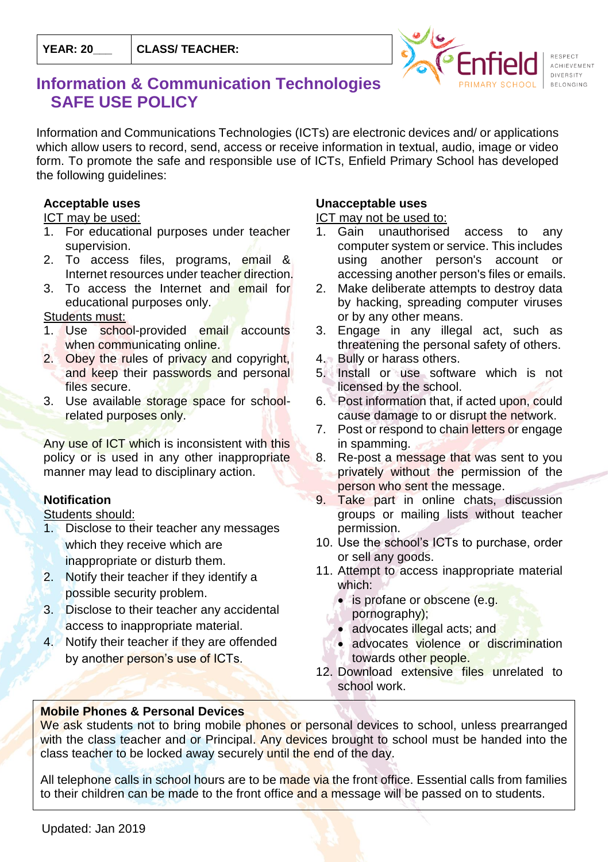

# **Information & Communication Technologies SAFE USE POLICY**

Information and Communications Technologies (ICTs) are electronic devices and/ or applications which allow users to record, send, access or receive information in textual, audio, image or video form. To promote the safe and responsible use of ICTs, Enfield Primary School has developed the following guidelines:

#### **Acceptable uses**

#### ICT may be used:

- 1. For educational purposes under teacher supervision.
- 2. To access files, programs, email & Internet resources under teacher direction.
- 3. To access the Internet and email for educational purposes only.

# Students must:

- 1. Use school-provided email accounts when communicating online.
- 2. Obey the rules of privacy and copyright, and keep their passwords and personal files secure.
- 3. Use available storage space for schoolrelated purposes only.

Any use of ICT which is inconsistent with this policy or is used in any other inappropriate manner may lead to disciplinary action.

# **Notification**

#### Students should:

- 1. Disclose to their teacher any messages which they receive which are inappropriate or disturb them.
- 2. Notify their teacher if they identify a possible security problem.
- 3. Disclose to their teacher any accidental access to inappropriate material.
- 4. Notify their teacher if they are offended by another person's use of ICTs.

# **Unacceptable uses**

#### ICT may not be used to:

- 1. Gain unauthorised access to any computer system or service. This includes using another person's account or accessing another person's files or emails.
- 2. Make deliberate attempts to destroy data by hacking, spreading computer viruses or by any other means.
- 3. Engage in any illegal act, such as threatening the personal safety of others.
- 4. Bully or harass others.
- 5. Install or use software which is not licensed by the school.
- 6. Post information that, if acted upon, could cause damage to or disrupt the network.
- 7. Post or respond to chain letters or engage in spamming.
- 8. Re-post a message that was sent to you privately without the permission of the person who sent the message.
- 9. Take part in online chats, discussion groups or mailing lists without teacher permission.
- 10. Use the school's ICTs to purchase, order or sell any goods.
- 11. Attempt to access inappropriate material which:
	- is profane or obscene (e.g.
	- pornography);
	- advocates illegal acts; and
	- advocates violence or discrimination towards other people.
- 12. Download extensive files unrelated to school work.

# **Mobile Phones & Personal Devices**

We ask students not to bring mobile phones or personal devices to school, unless prearranged with the class teacher and or Principal. Any devices brought to school must be handed into the class teacher to be locked away securely until the end of the day.

All telephone calls in school hours are to be made via the front office. Essential calls from families to their children can be made to the front office and a message will be passed on to students.

Updated: Jan 2019  $S_{\rm{B}}$  students, who bring mobile phones to school, and their parents/caregivers, are asked to sign and the sign and the sign and the sign and the sign and the sign and the sign and the sign and the sign and the sign a